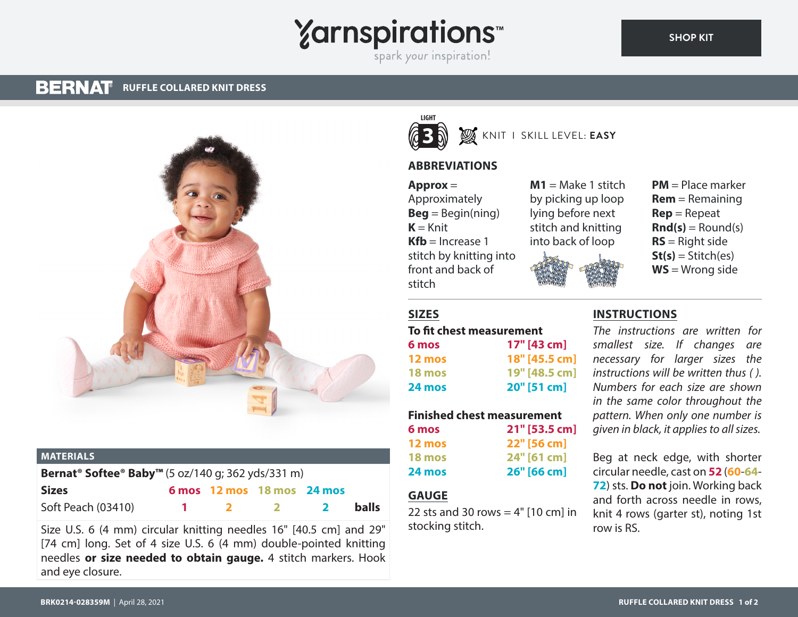# **Yarnspirations**

spark your inspiration!

#### **BERNAT RUFFLE COLLARED KNIT DRESS**



#### **MATERIALS**

| Bernat <sup>®</sup> Softee® Baby <sup>™</sup> (5 oz/140 g; 362 yds/331 m) |  |  |                            |              |              |
|---------------------------------------------------------------------------|--|--|----------------------------|--------------|--------------|
| <b>Sizes</b>                                                              |  |  | 6 mos 12 mos 18 mos 24 mos |              |              |
| Soft Peach (03410)                                                        |  |  | $\sim$ 2 $\sim$            | $\mathbf{2}$ | <b>balls</b> |

Size U.S. 6 (4 mm) circular knitting needles 16" [40.5 cm] and 29" [74 cm] long. Set of 4 size U.S. 6 (4 mm) double-pointed knitting needles **or size needed to obtain gauge.** 4 stitch markers. Hook and eye closure.



# KNIT I SKILL LEVEL: **EASY**

# **ABBREVIATIONS**

**Approx** = Approximately **Beg** = Begin(ning)  $K = Knit$  $Kfb =$ Increase 1 stitch by knitting into front and back of stitch

 $M1 = Make 1$  stitch by picking up loop lying before next stitch and knitting into back of loop



**PM** = Place marker **Rem** = Remaining **Rep** = Repeat  $\mathbf{Rnd}(\mathbf{s}) = \text{Round}(\mathbf{s})$ **RS** = Right side  $St(s) = Stitch(es)$ **WS** = Wrong side

# **SIZES**

#### **To fit chest measurement**

| 6 mos         | 17" [43 cm]   |
|---------------|---------------|
| 12 mos        | 18" [45.5 cm] |
| <b>18 mos</b> | 19" [48.5 cm] |
| 24 mos        | 20" [51 cm]   |

# **Finished chest measurement**

| 6 mos         | 21" [53.5 cm] |
|---------------|---------------|
| 12 mos        | 22" [56 cm]   |
| <b>18 mos</b> | 24" [61 cm]   |
| 24 mos        | 26" [66 cm]   |

### **GAUGE**

22 sts and 30 rows =  $4"$  [10 cm] in stocking stitch.

#### **INSTRUCTIONS**

*The instructions are written for smallest size. If changes are necessary for larger sizes the instructions will be written thus ( ). Numbers for each size are shown in the same color throughout the pattern. When only one number is given in black, it applies to all sizes.*

Beg at neck edge, with shorter circular needle, cast on **52** (**60**-**64**- **72**) sts. **Do not** join. Working back and forth across needle in rows, knit 4 rows (garter st), noting 1st row is RS.